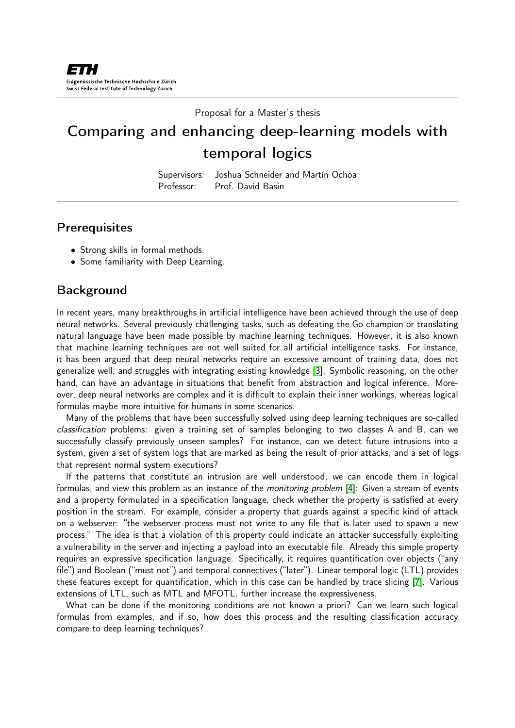Proposal for a Master's thesis

# Comparing and enhancing deep-learning models with temporal logics

Supervisors: Joshua Schneider and Martín Ochoa Professor: Prof. David Basin

## **Prerequisites**

- Strong skills in formal methods.
- Some familiarity with Deep Learning.

## **Background**

In recent years, many breakthroughs in artificial intelligence have been achieved through the use of deep neural networks. Several previously challenging tasks, such as defeating the Go champion or translating natural language have been made possible by machine learning techniques. However, it is also known that machine learning techniques are not well suited for all artificial intelligence tasks. For instance, it has been argued that deep neural networks require an excessive amount of training data, does not generalize well, and struggles with integrating existing knowledge [\[3\]](#page-2-0). Symbolic reasoning, on the other hand, can have an advantage in situations that benefit from abstraction and logical inference. Moreover, deep neural networks are complex and it is difficult to explain their inner workings, whereas logical formulas maybe more intuitive for humans in some scenarios.

Many of the problems that have been successfully solved using deep learning techniques are so-called classification problems: given a training set of samples belonging to two classes A and B, can we successfully classify previously unseen samples? For instance, can we detect future intrusions into a system, given a set of system logs that are marked as being the result of prior attacks, and a set of logs that represent normal system executions?

If the patterns that constitute an intrusion are well understood, we can encode them in logical formulas, and view this problem as an instance of the *monitoring problem* [\[4\]](#page-2-1): Given a stream of events and a property formulated in a specification language, check whether the property is satisfied at every position in the stream. For example, consider a property that guards against a specific kind of attack on a webserver: "the webserver process must not write to any file that is later used to spawn a new process." The idea is that a violation of this property could indicate an attacker successfully exploiting a vulnerability in the server and injecting a payload into an executable file. Already this simple property requires an expressive specification language. Specifically, it requires quantification over objects ("any file") and Boolean ("must not") and temporal connectives ("later"). Linear temporal logic (LTL) provides these features except for quantification, which in this case can be handled by trace slicing [\[7\]](#page-2-2). Various extensions of LTL, such as MTL and MFOTL, further increase the expressiveness.

What can be done if the monitoring conditions are not known a priori? Can we learn such logical formulas from examples, and if so, how does this process and the resulting classification accuracy compare to deep learning techniques?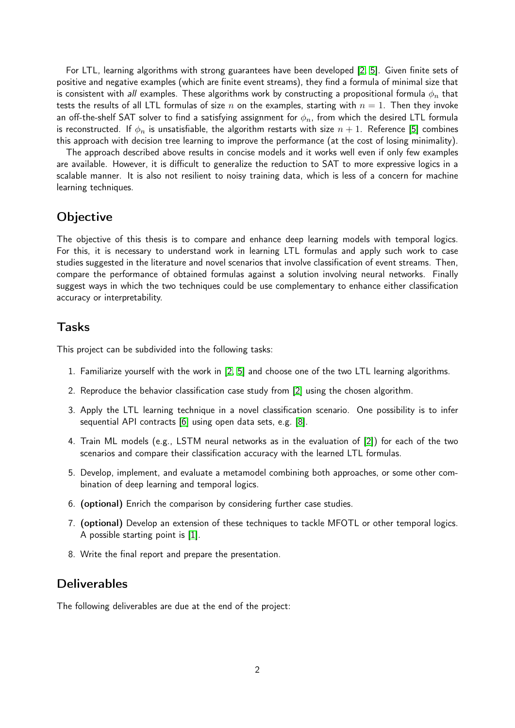For LTL, learning algorithms with strong guarantees have been developed [\[2,](#page-2-3) [5\]](#page-2-4). Given finite sets of positive and negative examples (which are finite event streams), they find a formula of minimal size that is consistent with all examples. These algorithms work by constructing a propositional formula  $\phi_n$  that tests the results of all LTL formulas of size n on the examples, starting with  $n = 1$ . Then they invoke an off-the-shelf SAT solver to find a satisfying assignment for  $\phi_n$ , from which the desired LTL formula is reconstructed. If  $\phi_n$  is unsatisfiable, the algorithm restarts with size  $n+1$ . Reference [\[5\]](#page-2-4) combines this approach with decision tree learning to improve the performance (at the cost of losing minimality).

The approach described above results in concise models and it works well even if only few examples are available. However, it is difficult to generalize the reduction to SAT to more expressive logics in a scalable manner. It is also not resilient to noisy training data, which is less of a concern for machine learning techniques.

## **Objective**

The objective of this thesis is to compare and enhance deep learning models with temporal logics. For this, it is necessary to understand work in learning LTL formulas and apply such work to case studies suggested in the literature and novel scenarios that involve classification of event streams. Then, compare the performance of obtained formulas against a solution involving neural networks. Finally suggest ways in which the two techniques could be use complementary to enhance either classification accuracy or interpretability.

#### Tasks

This project can be subdivided into the following tasks:

- 1. Familiarize yourself with the work in [\[2,](#page-2-3) [5\]](#page-2-4) and choose one of the two LTL learning algorithms.
- 2. Reproduce the behavior classification case study from [\[2\]](#page-2-3) using the chosen algorithm.
- 3. Apply the LTL learning technique in a novel classification scenario. One possibility is to infer sequential API contracts [\[6\]](#page-2-5) using open data sets, e.g. [\[8\]](#page-2-6).
- 4. Train ML models (e.g., LSTM neural networks as in the evaluation of [\[2\]](#page-2-3)) for each of the two scenarios and compare their classification accuracy with the learned LTL formulas.
- 5. Develop, implement, and evaluate a metamodel combining both approaches, or some other combination of deep learning and temporal logics.
- 6. (optional) Enrich the comparison by considering further case studies.
- 7. (optional) Develop an extension of these techniques to tackle MFOTL or other temporal logics. A possible starting point is [\[1\]](#page-2-7).
- 8. Write the final report and prepare the presentation.

#### **Deliverables**

The following deliverables are due at the end of the project: